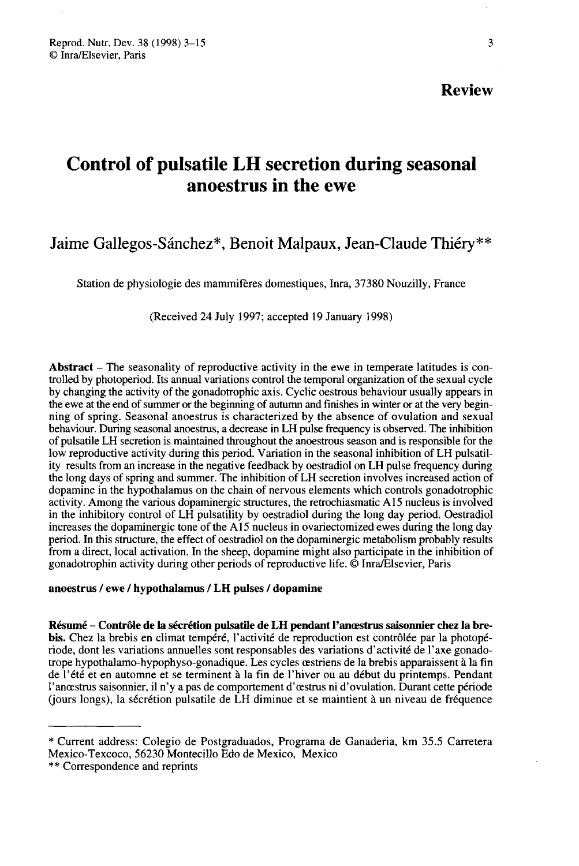# Review

# Control of pulsatile LH secretion during seasonal anoestrus in the ewe

# Jaime Gallegos-Sánchez\*, Benoit Malpaux, Jean-Claude Thiéry\*\*

Station de physiologie des mammifères domestiques, Inra, 37380 Nouzilly, France

(Received 24 July 1997; accepted 19 January 1998)

Abstract  $-$  The seasonality of reproductive activity in the ewe in temperate latitudes is controlled by photoperiod. Its annual variations control the temporal organization of the sexual cycle by changing the activity of the gonadotrophic axis. Cyclic oestrous behaviour usually appears in the ewe at the end of summer or the beginning of autumn and finishes in winter or at the very beginning of spring. Seasonal anoestrus is characterized by the absence of ovulation and sexual behaviour. During seasonal anoestrus, a decrease in LH pulse frequency is observed. The inhibition of pulsatile LH secretion is maintained throughout the anoestrous season and is responsible for the low reproductive activity during this period. Variation in the seasonal inhibition of LH pulsatility results from an increase in the negative feedback by oestradiol on LH pulse frequency during the long days of spring and summer. The inhibition of LH secretion involves increased action of dopamine in the hypothalamus on the chain of nervous elements which controls gonadotrophic activity. Among the various dopaminergic structures, the retrochiasmatic A 15 nucleus is involved in the inhibitory control of LH pulsatility by oestradiol during the long day period. Oestradiol increases the dopaminergic tone of the A15 nucleus in ovariectomized ewes during the long day period. In this structure, the effect of oestradiol on the dopaminergic metabolism probably results from a direct, local activation. In the sheep, dopamine might also participate in the inhibition of gonadotrophin activity during other periods of reproductive life. © Inra/Elsevier, Paris

#### anoestrus / ewe / hypothalamus / LH pulses / dopamine

Résumé - Contrôle de la sécrétion pulsatile de LH pendant l'anœstrus saisonnier chez la brebis. Chez la brebis en climat tempéré, l'activité de reproduction est contrôlée par la photopériode, dont les variations annuelles sont responsables des variations d'activité de l'axe gonadotrope hypothalamo-hypophyso-gonadique. Les cycles aestriens de la brebis apparaissent à la fin de l'été et en automne et se terminent à la fin de l'hiver ou au début du printemps. Pendant l'anoestrus saisonnier, il n'y a pas de comportement d'aestrus ni d'ovulation. Durant cette période (jours longs), la sécrétion pulsatile de LH diminue et se maintient à un niveau de fréquence

<sup>\*</sup> Current address: Colegio de Postgraduados, Programa de Ganaderia, km 35.5 Carretera Mexico-Texcoco, 56230 Montecillo Edo de Mexico, Mexico \*\* Correspondence and reprints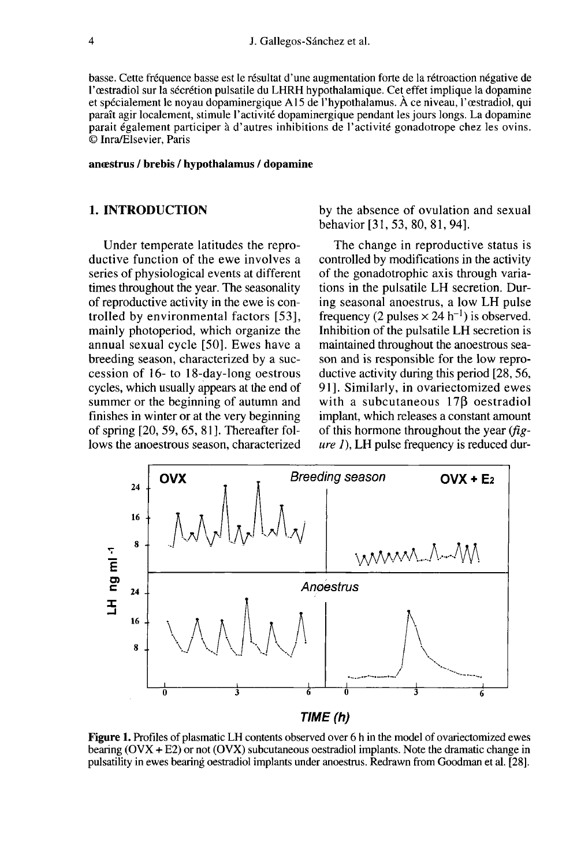basse. Cette fréquence basse est le résultat d'une augmentation forte de la rétroaction négative de<br>l'œstradiol sur la sécrétion pulsatile du LHRH hypothalamique. Cet effet implique la dopamine et spécialement le noyau dopaminergique A15 de l'hypothalamus. À ce niveau, l'œstradiol, qui paraît agir localement, stimule l'activité dopaminergique pendant les jours longs. La dopamine parait également participer à d'autres inhibitions de l'activité gonadotrope chez les ovins. © Inra/Elsevier, Paris

anœstrus / brebis / hypothalamus / dopamine

## 1. INTRODUCTION

Under temperate latitudes the reproductive function of the ewe involves a series of physiological events at different times throughout the year. The seasonality of reproductive activity in the ewe is controlled by environmental factors [53], mainly photoperiod, which organize the annual sexual cycle [50]. Ewes have a breeding season, characterized by a succession of 16- to 18-day-long oestrous cycles, which usually appears at the end of summer or the beginning of autumn and finishes in winter or at the very beginning of spring [20, 59, 65, 81 ]. Thereafter follows the anoestrous season, characterized by the absence of ovulation and sexual behavior [31, 53, 80, 81, 94].

The change in reproductive status is controlled by modifications in the activity of the gonadotrophic axis through variations in the pulsatile LH secretion. During seasonal anoestrus, a low LH pulse frequency (2 pulses  $\times$  24 h<sup>-1</sup>) is observed. Inhibition of the pulsatile LH secretion is maintained throughout the anoestrous season and is responsible for the low reproductive activity during this period [28, 56, 91]. Similarly, in ovariectomized ewes with a subcutaneous 17<sub>B</sub> oestradiol implant, which releases a constant amount<br>of this hormone throughout the year  $(fig - g)$  $ure 1$ ), LH pulse frequency is reduced dur-



Figure 1. Profiles of plasmatic LH contents observed over 6 h in the model of ovariectomized ewes bearing  $(OVX + E2)$  or not  $(OVX)$  subcutaneous oestradiol implants. Note the dramatic change in pulsatility in ewes bearing oestradiol implants under anoestrus. Redrawn from Goodman et al. [28].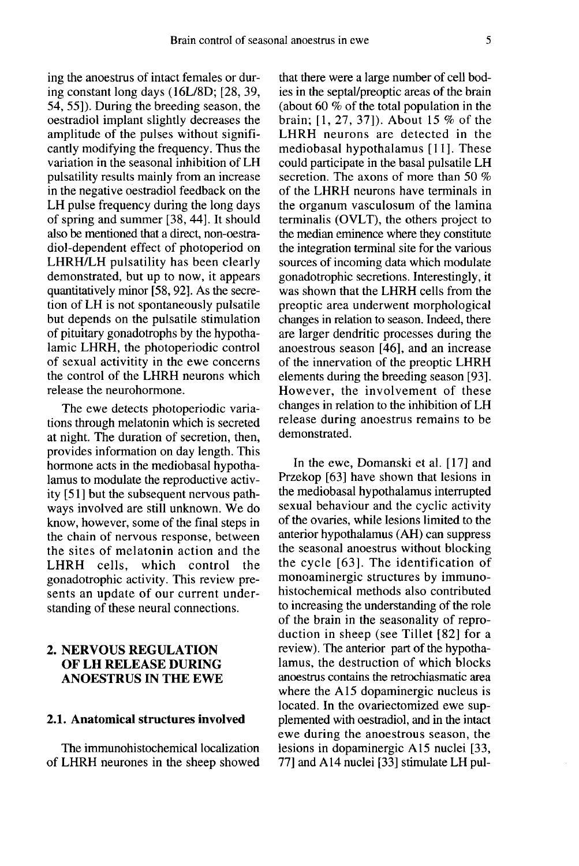ing the anoestrus of intact females or during constant long days (16L/8D; [28, 39, 54, 55]). During the breeding season, the oestradiol implant slightly decreases the amplitude of the pulses without significantly modifying the frequency. Thus the variation in the seasonal inhibition of LH pulsatility results mainly from an increase in the negative oestradiol feedback on the LH pulse frequency during the long days of spring and summer [38, 44]. It should also be mentioned that a direct, non-oestradiol-dependent effect of photoperiod on LHRH/LH pulsatility has been clearly demonstrated, but up to now, it appears quantitatively minor [58, 92]. As the secretion of LH is not spontaneously pulsatile but depends on the pulsatile stimulation of pituitary gonadotrophs by the hypothalamic LHRH, the photoperiodic control of sexual activitity in the ewe concerns the control of the LHRH neurons which release the neurohormone.

The ewe detects photoperiodic variations through melatonin which is secreted at night. The duration of secretion, then, provides information on day length. This hormone acts in the mediobasal hypothalamus to modulate the reproductive activity [51] but the subsequent nervous pathways involved are still unknown. We do know, however, some of the final steps in the chain of nervous response, between the sites of melatonin action and the LHRH cells, which control the gonadotrophic activity. This review presents an update of our current understanding of these neural connections.

#### 2. NERVOUS REGULATION OF LH RELEASE DURING ANOESTRUS IN THE EWE

#### 2.1. Anatomical structures involved

The immunohistochemical localization of LHRH neurones in the sheep showed that there were a large number of cell bodies in the septal/preoptic areas of the brain (about 60  $\%$  of the total population in the brain; [1, 27, 37]). About 15 % of the LHRH neurons are detected in the mediobasal hypothalamus [11]. These could participate in the basal pulsatile LH secretion. The axons of more than 50 % of the LHRH neurons have terminals in the organum vasculosum of the lamina terminalis (OVLT), the others project to the median eminence where they constitute the integration terminal site for the various sources of incoming data which modulate gonadotrophic secretions. Interestingly, it was shown that the LHRH cells from the preoptic area underwent morphological changes in relation to season. Indeed, there are larger dendritic processes during the anoestrous season [46], and an increase of the innervation of the preoptic LHRH elements during the breeding season [93]. However, the involvement of these changes in relation to the inhibition of LH release during anoestrus remains to be demonstrated.

In the ewe, Domanski et al. [17] and Przekop [63] have shown that lesions in the mediobasal hypothalamus interrupted sexual behaviour and the cyclic activity of the ovaries, while lesions limited to the anterior hypothalamus (AH) can suppress the seasonal anoestrus without blocking the cycle [63]. The identification of monoaminergic structures by immunohistochemical methods also contributed to increasing the understanding of the role of the brain in the seasonality of reproduction in sheep (see Tillet [82] for a review). The anterior part of the hypothalamus, the destruction of which blocks anoestrus contains the retrochiasmatic area where the A15 dopaminergic nucleus is located. In the ovariectomized ewe supplemented with oestradiol, and in the intact ewe during the anoestrous season, the lesions in dopaminergic A15 nuclei [33, 77] and A14 nuclei [33] stimulate LH pul-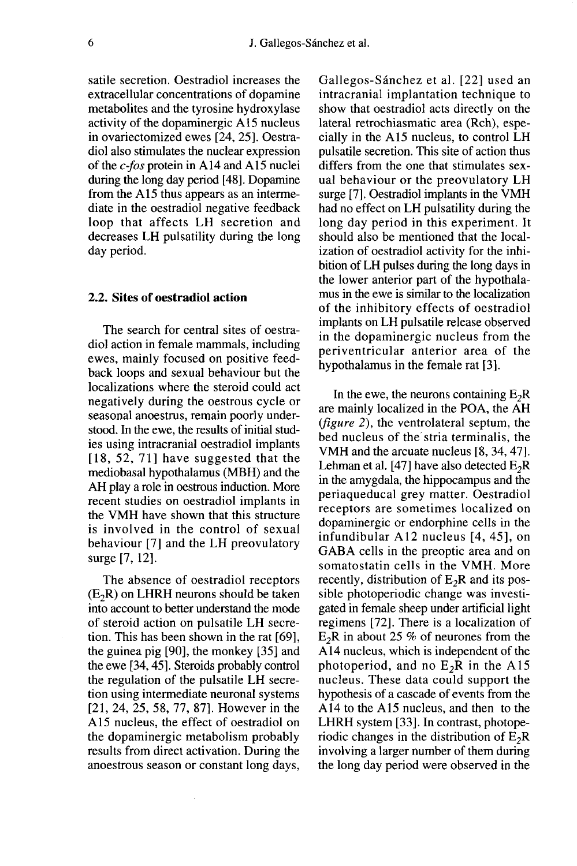satile secretion. Oestradiol increases the extracellular concentrations of dopamine metabolites and the tyrosine hydroxylase activity of the dopaminergic A15 nucleus in ovariectomized ewes [24, 25]. Oestradiol also stimulates the nuclear expression of the  $c$ -fos protein in A14 and A15 nuclei during the long day period [48]. Dopamine from the A15 thus appears as an intermediate in the oestradiol negative feedback loop that affects LH secretion and decreases LH pulsatility during the long day period.

#### 2.2. Sites of oestradiol action

The search for central sites of oestradiol action in female mammals, including ewes, mainly focused on positive feedback loops and sexual behaviour but the localizations where the steroid could act negatively during the oestrous cycle or seasonal anoestrus, remain poorly understood. In the ewe, the results of initial studies using intracranial oestradiol implants  $[18, 52, 71]$  have suggested that the mediobasal hypothalamus (MBH) and the AH play a role in oestrous induction. More recent studies on oestradiol implants in the VMH have shown that this structure is involved in the control of sexual behaviour [7] and the LH preovulatory surge [7, 12].

The absence of oestradiol receptors  $(E<sub>2</sub>R)$  on LHRH neurons should be taken into account to better understand the mode of steroid action on pulsatile LH secretion. This has been shown in the rat [69], the guinea pig [90], the monkey [35] and the ewe [34, 45]. Steroids probably control the regulation of the pulsatile LH secretion using intermediate neuronal systems [21, 24, 25, 58, 77, 87]. However in the A15 nucleus, the effect of oestradiol on the dopaminergic metabolism probably results from direct activation. During the anoestrous season or constant long days, Gallegos-Sanchez et al. [22] used an intracranial implantation technique to show that oestradiol acts directly on the lateral retrochiasmatic area (Rch), especially in the A15 nucleus, to control LH pulsatile secretion. This site of action thus differs from the one that stimulates sexual behaviour or the preovulatory LH surge [7]. Oestradiol implants in the VMH had no effect on LH pulsatility during the long day period in this experiment. It should also be mentioned that the localization of oestradiol activity for the inhibition of LH pulses during the long days in the lower anterior part of the hypothala mus in the ewe is similar to the localization of the inhibitory effects of oestradiol implants on LH pulsatile release observed in the dopaminergic nucleus from the periventricular anterior area of the hypothalamus in the female rat [3].

In the ewe, the neurons containing  $E_2R$  are mainly localized in the POA, the AH (figure 2), the ventrolateral septum, the bed nucleus of the'stria terminalis, the VMH and the arcuate nucleus [8, 34, 47]. Lehman et al. [47] have also detected  $E_2R$ in the amygdala, the hippocampus and the periaqueducal grey matter. Oestradiol receptors are sometimes localized on dopaminergic or endorphine cells in the infundibular A12 nucleus [4, 45], on GABA cells in the preoptic area and on somatostatin cells in the VMH. More recently, distribution of  $E_2R$  and its possible photoperiodic change was investigated in female sheep under artificial light regimens [72]. There is a localization of  $E_2R$  in about 25 % of neurones from the  $\Lambda$ 14 nucleus which is independent of the A 14 nucleus, which is independent of the photoperiod, and no  $E_2R$  in the A15 nucleus. These data could support the hypothesis of a cascade of events from the A14 to the A15 nucleus, and then to the LHRH system [33]. In contrast, photope-<br>riodic changes in the distribution of  $E_2R$ <br>involving a larger number of them during involving a larger number of them during the long day period were observed in the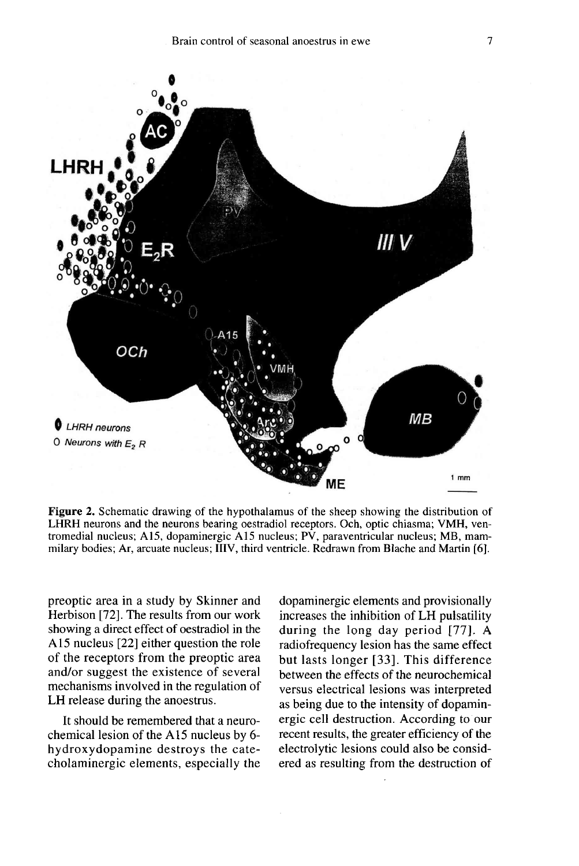

Figure 2. Schematic drawing of the hypothalamus of the sheep showing the distribution of LHRH neurons and the neurons bearing oestradiol receptors. Och, optic chiasma; VMH, ventromedial nucleus; A15, dopaminergic A15 nucleus; PV, paraventricular nucleus; MB, mammilary bodies; Ar, arcuate nucleus; IIIV, third ventricle. Redrawn from Blache and Martin [6].

preoptic area in a study by Skinner and Herbison [72]. The results from our work showing a direct effect of oestradiol in the A15 nucleus [22] either question the role of the receptors from the preoptic area and/or suggest the existence of several mechanisms involved in the regulation of LH release during the anoestrus.

It should be remembered that a neurochemical lesion of the A15 nucleus by 6 hydroxydopamine destroys the catecholaminergic elements, especially the dopaminergic elements and provisionally increases the inhibition of LH pulsatility during the long day period [77]. A radiofrequency lesion has the same effect but lasts longer [33]. This difference between the effects of the neurochemical versus electrical lesions was interpreted as being due to the intensity of dopaminergic cell destruction. According to our recent results, the greater efficiency of the electrolytic lesions could also be considered as resulting from the destruction of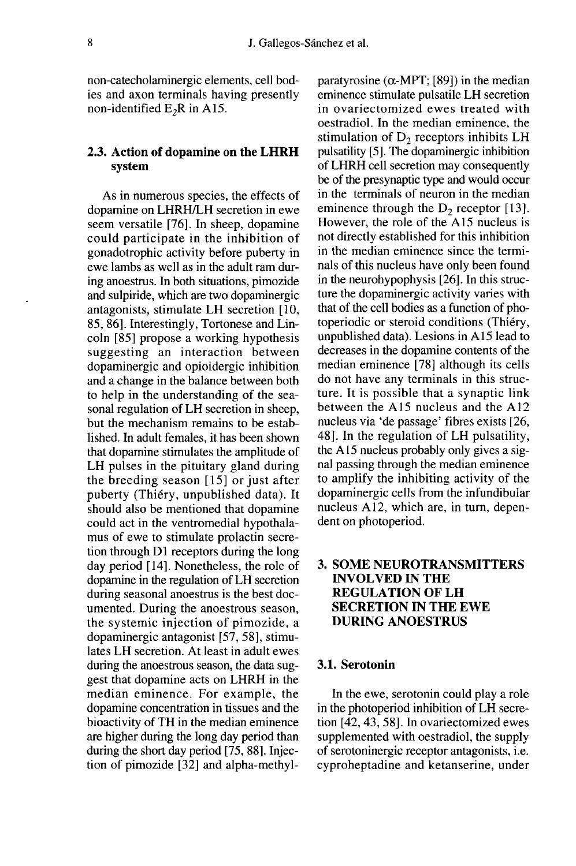non-catecholaminergic elements, cell bodies and axon terminals having presently non-identified  $E_2R$  in A15.

#### 2.3. Action of dopamine on the LHRH system

As in numerous species, the effects of dopamine on LHRH/LH secretion in ewe seem versatile [76]. In sheep, dopamine could participate in the inhibition of gonadotrophic activity before puberty in ewe lambs as well as in the adult ram during anoestrus. In both situations, pimozide and sulpiride, which are two dopaminergic antagonists, stimulate LH secretion [10, 85, 86]. Interestingly, Tortonese and Lincoln [85] propose a working hypothesis suggesting an interaction between dopaminergic and opioidergic inhibition and a change in the balance between both to help in the understanding of the seasonal regulation of LH secretion in sheep, but the mechanism remains to be established. In adult females, it has been shown that dopamine stimulates the amplitude of LH pulses in the pituitary gland during the breeding season [15] or just after puberty (Thiéry, unpublished data). It should also be mentioned that dopamine could act in the ventromedial hypothala mus of ewe to stimulate prolactin secretion through  $D1$  receptors during the long day period [14]. Nonetheless, the role of dopamine in the regulation of LH secretion during seasonal anoestrus is the best documented. During the anoestrous season, the systemic injection of pimozide, a dopaminergic antagonist [57, 58], stimulates LH secretion. At least in adult ewes during the anoestrous season, the data suggest that dopamine acts on LHRH in the median eminence. For example, the dopamine concentration in tissues and the bioactivity of TH in the median eminence are higher during the long day period than during the short day period [75, 88]. Injection of pimozide [32] and alpha-methyl-

paratyrosine ( $\alpha$ -MPT; [89]) in the median eminence stimulate pulsatile LH secretion in ovariectomized ewes treated with oestradiol. In the median eminence, the stimulation of  $D<sub>2</sub>$  receptors inhibits LH pulsatility [5]. The dopaminergic inhibition of LHRH cell secretion may consequently be of the presynaptic type and would occur in the terminals of neuron in the median eminence through the  $D_2$  receptor [13]. However, the role of the A15 nucleus is not directly established for this inhibition in the median eminence since the terminals of this nucleus have only been found in the neurohypophysis [26]. In this structure the dopaminergic activity varies with that of the cell bodies as a function of photoperiodic or steroid conditions (Thiéry, unpublished data). Lesions in A 15 lead to decreases in the dopamine contents of the median eminence [78] although its cells do not have any terminals in this structure. It is possible that a synaptic link between the A15 nucleus and the A12 nucleus via 'de passage' fibres exists [26, 48]. In the regulation of LH pulsatility, the A 15 nucleus probably only gives a signal passing through the median eminence to amplify the inhibiting activity of the dopaminergic cells from the infundibular nucleus A12, which are, in turn, dependent on photoperiod.

### 3. SOME NEUROTRANSMITTERS INVOLVED IN THE REGULATION OF LH SECRETION IN THE EWE DURING ANOESTRUS

#### 3.1. Serotonin

In the ewe, serotonin could play a role in the photoperiod inhibition of LH secretion [42, 43, 58]. In ovariectomized ewes supplemented with oestradiol, the supply of serotoninergic receptor antagonists, i.e. cyproheptadine and ketanserine, under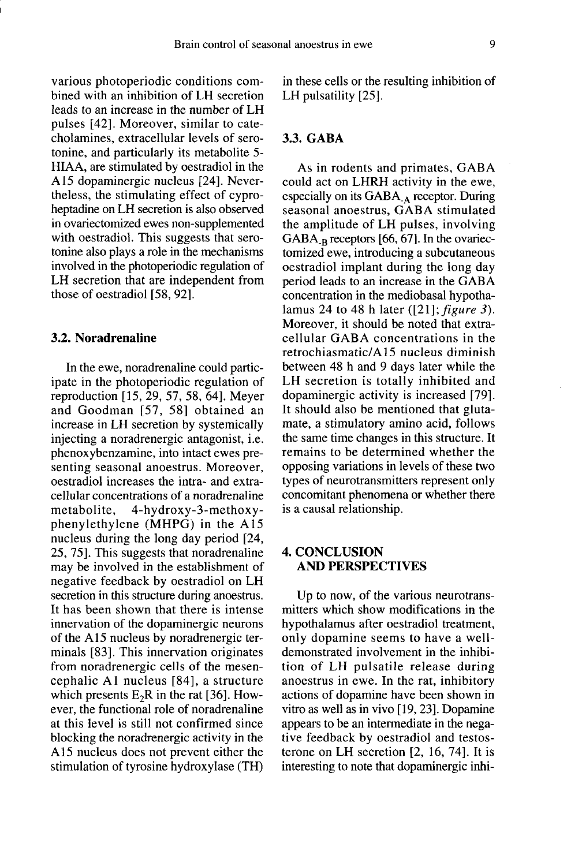various photoperiodic conditions combined with an inhibition of LH secretion leads to an increase in the number of LH pulses [42]. Moreover, similar to catecholamines, extracellular levels of serotonine, and particularly its metabolite 5- HIAA, are stimulated by oestradiol in the A 15 dopaminergic nucleus [24]. Nevertheless, the stimulating effect of cyproheptadine on LH secretion is also observed in ovariectomized ewes non-supplemented with oestradiol. This suggests that serotonine also plays a role in the mechanisms involved in the photoperiodic regulation of LH secretion that are independent from those of oestradiol [58, 92].

#### 3.2. Noradrenaline

In the ewe, noradrenaline could participate in the photoperiodic regulation of reproduction [15, 29, 57, 58, 64]. Meyer and Goodman [57, 58] obtained an increase in LH secretion by systemically injecting a noradrenergic antagonist, i.e. phenoxybenzamine, into intact ewes presenting seasonal anoestrus. Moreover, oestradiol increases the intra- and extracellular concentrations of a noradrenaline metabolite, 4-hydroxy-3-methoxyphenylethylene (MHPG) in the A 15 nucleus during the long day period [24, 25, 75]. This suggests that noradrenaline may be involved in the establishment of negative feedback by oestradiol on LH secretion in this structure during anoestrus. It has been shown that there is intense innervation of the dopaminergic neurons of the A15 nucleus by noradrenergic terminals [83]. This innervation originates from noradrenergic cells of the mesencephalic A1 nucleus [84], a structure which presents  $E_2R$  in the rat [36]. However, the functional role of noradrenaline at this level is still not confirmed since blocking the noradrenergic activity in the A15 nucleus does not prevent either the stimulation of tyrosine hydroxylase (TH)

in these cells or the resulting inhibition of LH pulsatility [25].

# 3.3. GABA

As in rodents and primates, GABA could act on LHRH activity in the ewe, could act on LHRH activity in the ewe,<br>especially on its GABA - receptor. During<br>seasonal apoestrus. GABA stimulated seasonal anoestrus, GABA stimulated the amplitude of LH pulses, involving<br>GABA<sub>-B</sub> receptors [66, 67]. In the ovariecespecially on its GABA<sub>-A</sub> receptor. During<br>seasonal anoestrus, GABA stimulated<br>the amplitude of LH pulses, involving<br>GABA<sub>-B</sub> receptors [66, 67]. In the ovariec-<br>tomized ewe, introducing a subcutaneous tomized ewe, introducing a subcutaneous oestradiol implant during the long day period leads to an increase in the GABA concentration in the mediobasal hypothalamus 24 to 48 h later ([21];  $figure 3$ ). Moreover, it should be noted that extracellular GABA concentrations in the retrochiasmatic/A15 nucleus diminish between 48 h and 9 days later while the LH secretion is totally inhibited and dopaminergic activity is increased [79]. It should also be mentioned that glutamate, a stimulatory amino acid, follows the same time changes in this structure. It remains to be determined whether the opposing variations in levels of these two types of neurotransmitters represent only concomitant phenomena or whether there is a causal relationship.

#### 4. CONCLUSION AND PERSPECTIVES

Up to now, of the various neurotransmitters which show modifications in the hypothalamus after oestradiol treatment, only dopamine seems to have a welldemonstrated involvement in the inhibition of LH pulsatile release during anoestrus in ewe. In the rat, inhibitory actions of dopamine have been shown in vitro as well as in vivo [19, 23]. Dopamine appears to be an intermediate in the negative feedback by oestradiol and testosterone on LH secretion [2, 16, 74]. It is interesting to note that dopaminergic inhi-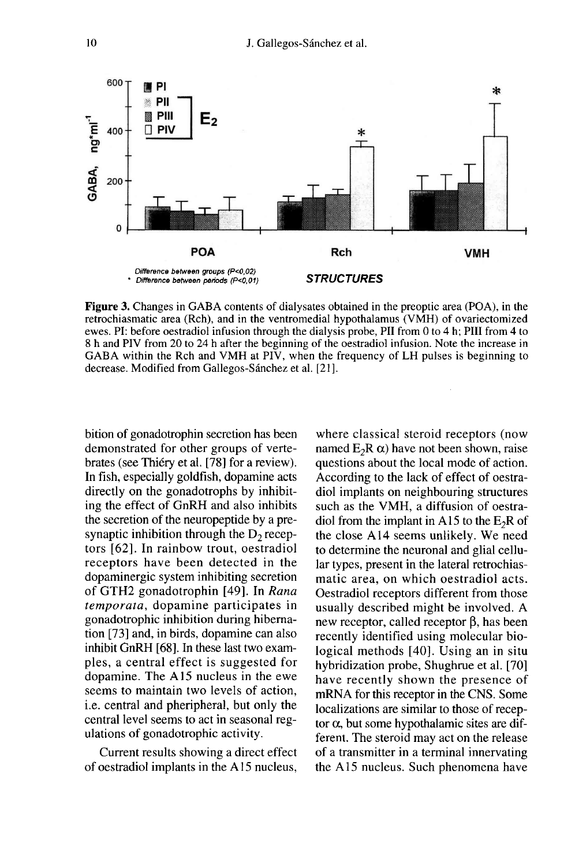

**Figure 3.** Changes in GABA contents of dialysates obtained in the preoptic area (POA), in the retrochiasmatic area (Rch), and in the ventromedial hypothalamus (VMH) of ovariectomized ewes. PI: before oestradiol infusion through the dialysis probe, PII from 0 to 4 h; PIII from 4 to 8 h and PIV from 20 to 24 h after the beginning of the oestradiol infusion. Note the increase in GABA within the Rch and VMH at PIV, when the frequency of LH pulses is beginning to decrease. Modified from Gallegos-Sánchez et al. [21].

bition of gonadotrophin secretion has been demonstrated for other groups of vertebrates (see Thiéry et al. [78] for a review). In fish, especially goldfish, dopamine acts directly on the gonadotrophs by inhibiting the effect of GnRH and also inhibits the secretion of the neuropeptide by a presynaptic inhibition through the  $D<sub>2</sub>$  receptors [62]. In rainbow trout, oestradiol receptors have been detected in the dopaminergic system inhibiting secretion of GTH2 gonadotrophin [49]. In Rana temporata, dopamine participates in gonadotrophic inhibition during hibernation [73] and, in birds, dopamine can also inhibit GnRH [68]. In these last two examples, a central effect is suggested for dopamine. The A 15 nucleus in the ewe seems to maintain two levels of action, i.e. central and pheripheral, but only the central level seems to act in seasonal regulations of gonadotrophic activity.

Current results showing a direct effect of oestradiol implants in the A 15 nucleus,

where classical steroid receptors (now named  $E_2R \alpha$ ) have not been shown, raise questions about the local mode of action. According to the lack of effect of oestradiol implants on neighbouring structures such as the VMH, a diffusion of oestradiol from the implant in A15 to the  $E_2R$  of the close A14 seems unlikely. We need to determine the neuronal and glial cellular types, present in the lateral retrochiasmatic area, on which oestradiol acts. Oestradiol receptors different from those usually described might be involved. A new receptor, called receptor  $\beta$ , has been recently identified using molecular biological methods [40]. Using an in situ hybridization probe, Shughrue et al. [70] have recently shown the presence of mRNA for this receptor in the CNS. Some localizations are similar to those of recep tor  $\alpha$ , but some hypothalamic sites are different. The steroid may act on the release of a transmitter in a terminal innervating the A15 nucleus. Such phenomena have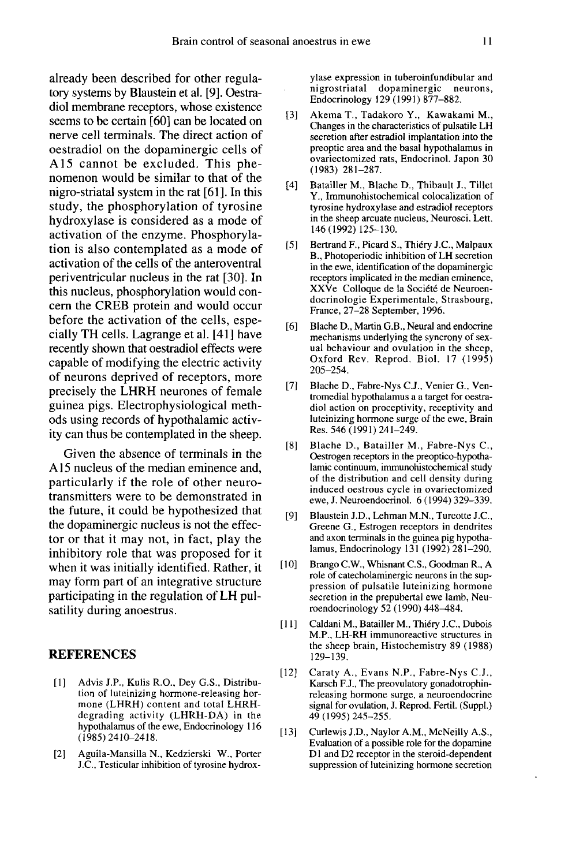already been described for other regulatory systems by Blaustein et al. [9]. Oestradiol membrane receptors, whose existence seems to be certain [60] can be located on nerve cell terminals. The direct action of oestradiol on the dopaminergic cells of A15 cannot be excluded. This phe nomenon would be similar to that of the nigro-striatal system in the rat [61]. In this study, the phosphorylation of tyrosine hydroxylase is considered as a mode of activation of the enzyme. Phosphorylation is also contemplated as a mode of activation of the cells of the anteroventral periventricular nucleus in the rat [30]. In this nucleus, phosphorylation would concern the CREB protein and would occur before the activation of the cells, especially TH cells. Lagrange et al. [41 ] have recently shown that oestradiol effects were capable of modifying the electric activity of neurons deprived of receptors, more precisely the LHRH neurones of female guinea pigs. Electrophysiological methods using records of hypothalamic activity can thus be contemplated in the sheep.

Given the absence of terminals in the A 15 nucleus of the median eminence and, particularly if the role of other neurotransmitters were to be demonstrated in the future, it could be hypothesized that the dopaminergic nucleus is not the effector or that it may not, in fact, play the inhibitory role that was proposed for it when it was initially identified. Rather, it may form part of an integrative structure participating in the regulation of LH pulsatility during anoestrus.

#### REFERENCES

- [1] Advis J.P., Kulis R.O., Dey G.S., Distribution of luteinizing hormone-releasing hormone (LHRH) content and total LHRHdegrading activity (LHRH-DA) in the hypothalamus of the ewe, Endocrinology 116 (1985)2410-2418.
- [2] Aguila-Mansilla N., Kedzierski W., Porter J.C., Testicular inhibition of tyrosine hydrox-

ylase expression in tuberoinfundibular and<br>nigrostriatal dopaminergic neurons, dopaminergic Endocrinology 129 (1991) 877-882.

- [3] Akema T., Tadakoro Y., Kawakami M., Changes in the characteristics of pulsatile LH secretion after estradiol implantation into the preoptic area and the basal hypothalamus in ovariectomized rats, Endocrinol. Japon 30 (1983) 281-287.
- [4] Batailler M., Blache D., Thibault J., Tillet Y., Immunohistochemical colocalization of tyrosine hydroxylase and estradiol receptors in the sheep arcuate nucleus, Neurosci. Lett. 146 (1992) 125-130.
- [5] Bertrand F., Picard S., Thiéry J.C., Malpaux B., Photoperiodic inhibition of LH secretion in the ewe, identification of the dopaminergic<br>receptors implicated in the median eminence. XXVe Colloque de la Société de Neuroendocrinologie Experimentale, Strasbourg, France, 27-28 September, 1996.
- [6] Blache D., Martin G.B., Neural and endocrine mechanisms underlying the syncrony of sexual behaviour and ovulation in the sheep, Oxford Rev. Reprod. Biol. 17 (1995) 205-254.
- [7] Blache D., Fabre-Nys C.J., Venier G., Ventromedial hypothalamus a a target for oestradiol action on proceptivity, receptivity and luteinizing hormone surge of the ewe, Brain Res. 546 (1991) 241-249.
- [8] Blache D., Batailler M., Fabre-Nys C., Oestrogen receptors in the preoptico-hypothalamic continuum, immunohistochemical study of the distribution and cell density during induced oestrous cycle in ovariectomized ewe, J. Neuroendocrinol. 6 (1994) 329-339.
- [9] Blaustein J.D., Lehman M.N., Turcotte J.C., Greene G., Estrogen receptors in dendrites and axon terminals in the guinea pig hypothalamus, Endocrinology 131 (1992) 281-290.
- [ 10] Brango C.W., Whisnant C.S., Goodman R., A role of catecholaminergic neurons in the suppression of pulsatile luteinizing hormone secretion in the prepubertal ewe lamb, Neuroendocrinology 52 (1990) 448-484.
- [11] Caldani M., Batailler M., Thiéry J.C., Dubois M.P., LH-RH immunoreactive structures in the sheep brain, Histochemistry 89 (1988) 129-139.
- [12] Caraty A., Evans N.P., Fabre-Nys C.J., Karsch F.J., The preovulatory gonadotrophinreleasing hormone surge, a neuroendocrine signal for ovulation, J. Reprod. Fertil. (Suppl.) 49 (1995) 245-255.
- [13] Curlewis J.D., Naylor A.M., McNeilly A.S.,<br>Evaluation of a possible role for the dopamine D1 and D2 receptor in the steroid-dependent suppression of luteinizing hormone secretion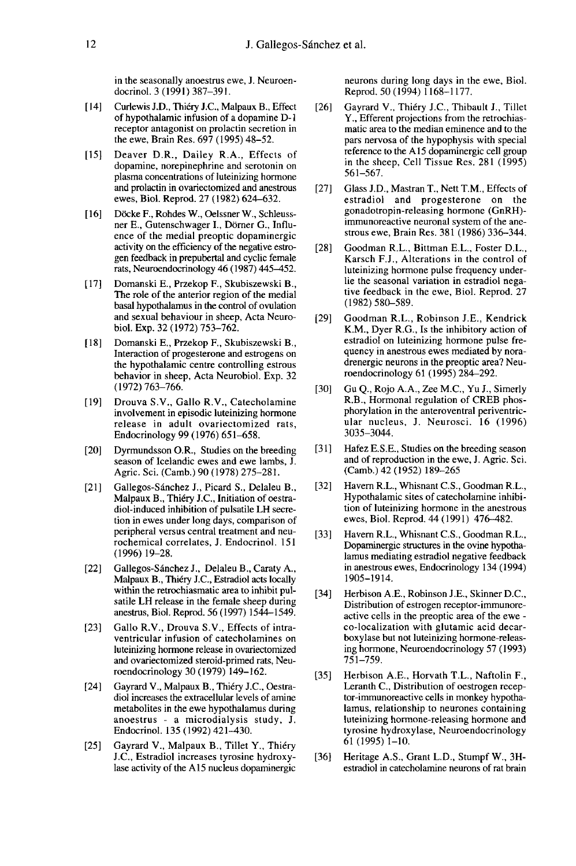in the seasonally anoestrus ewe, J. Neuroendocrinol. 3 (1991) 387-391.

- [14] Curlewis J.D., Thiéry J.C., Malpaux B., Effect of hypothalamic infusion of a dopamine D-1 receptor antagonist on prolactin secretion in the ewe, Brain Res. 697 (1995) 48-52.
- [15] Deaver D.R., Dailey R.A., Effects of dopamine, norepinephrine and serotonin on plasma concentrations of luteinizing hormone and prolactin in ovariectomized and anestrous ewes, Biol. Reprod. 27 (1982) 624-632.
- [16] Döcke F., Rohdes W., Oelssner W., Schleussner E., Gutenschwager I., Dörner G., Influence of the medial preoptic dopaminergic activity on the efficiency of the negative estrogen feedback in prepubertal and cyclic female rats, Neuroendocrinology 46 (1987) 445-452.
- [17] Domanski E., Przekop F., Skubiszewski B., The role of the anterior region of the medial basal hypothalamus in the control of ovulation and sexual behaviour in sheep, Acta Neurobiol. Exp. 32 (1972) 753-762.
- [18] Domanski E., Przekop F., Skubiszewski B., Interaction of progesterone and estrogens on the hypothalamic centre controlling estrous behavior in sheep, Acta Neurobiol. Exp. 32 (1972) 763-766.
- [19] Drouva S.V., Gallo R.V., Catecholamine involvement in episodic luteinizing hormone release in adult ovariectomized rats, Endocrinology 99 (1976) 651-658.
- [20] Dyrmundsson O.R., Studies on the breeding season of Icelandic ewes and ewe lambs, J. Agric. Sci. (Camb.) 90 (1978) 275-281.
- [21] Gallegos-Sánchez J., Picard S., Delaleu B., Malpaux B., Thiéry J.C., Initiation of oestradiol-induced inhibition of pulsatile LH secretion in ewes under long days, comparison of peripheral versus central treatment and neurochemical correlates, J. Endocrinol. 151 (1996) 19-28.
- [22] Gallegos-Sánchez J., Delaleu B., Caraty A., Malpaux B., Thiery J.C., Estradiol acts locally within the retrochiasmatic area to inhibit pulsatile LH release in the female sheep during anestrus, Biol. Reprod. 56 (1997) 1544-1549.
- [23] Gallo R.V., Drouva S.V., Effects of intraventricular infusion of catecholamines on luteinizing hormone release in ovariectomized and ovariectomized steroid-primed rats, Neuroendocrinology 30 (1979) 149-162.
- [24] Gayrard V., Malpaux B., Thiéry J.C., Oestradiol increases the extracellular levels of amine metabolites in the ewe hypothalamus during anoestrus - a microdialysis study, J. Endocrinol. 135 (1992) 421-430.
- [25] Gayrard V., Malpaux B., Tillet Y., Thiéry J.C., Estradiol increases tyrosine hydroxylase activity of the A15 nucleus dopaminergic

neurons during long days in the ewe, Biol. Reprod. 50 (1994) 1168-1177.

- [26] Gayrard V., Thiéry J.C., Thibault J., Tillet Y., Efferent projections from the retrochiasmatic area to the median eminence and to the pars nervosa of the hypophysis with special reference to the A15 dopaminergic cell group in the sheep, Cell Tissue Res. 281 (1995) 561-567.
- [27] Glass J.D., Mastran T., Nett T.M., Effects of estradiol and progesterone on the gonadotropin-releasing hormone (GnRH) immunoreactive neuronal system of the anestrous ewe, Brain Res. 381 (1986) 336-344.
- [28] Goodman R.L., Bittman E.L., Foster D.L., Karsch F.J., Alterations in the control of luteinizing hormone pulse frequency underlie the seasonal variation in estradiol nega tive feedback in the ewe, Biol. Reprod. 27 (1982) 580-589.
- [29] Goodman R.L., Robinson J.E., Kendrick K.M., Dyer R.G., Is the inhibitory action of estradiol on luteinizing hormone pulse frequency in anestrous ewes mediated by noradrenergic neurons in the preoptic area? Neuroendocrinology 61 (1995) 284-292.
- [30] Gu Q., Rojo A.A., Zee M.C., Yu J., Simerly R.B., Hormonal regulation of CREB phosphorylation in the anteroventral periventric ular nucleus, J. Neurosci. 16 (1996) 3035-3044.
- [31] Hafez E.S.E., Studies on the breeding season and of reproduction in the ewe, J. Agric. Sci. (Camb.) 42 (1952) 189-265
- [32] Havem R.L., Whisnant C.S., Goodman R.L., Hypothalamic sites of catecholamine inhibition of luteinizing hormone in the anestrous ewes, Biol. Reprod. 44 (1991) 476-482.
- [33] Havern R.L., Whisnant C.S., Goodman R.L., Dopaminergic structures in the ovine hypotha lamus mediating estradiol negative feedback in anestrous ewes, Endocrinology 134 (1994) 1905-1914.
- [34] Herbison A.E., Robinson J.E., Skinner D.C., Distribution of estrogen receptor-immunoreactive cells in the preoptic area of the ewe co-localization with glutamic acid decarboxylase but not luteinizing hormone-releasing hormone, Neuroendocrinology 57 (1993) 751-759.
- [35] Herbison A.E., Horvath T.L., Naftolin F., Leranth C., Distribution of oestrogen recep tor-immunoreactive cells in monkey hypothalamus, relationship to neurones containing luteinizing hormone-releasing hormone and tyrosine hydroxylase, Neuroendocrinology 61(1995)1-10.
- [36] Heritage A.S., Grant L.D., Stumpf W., 3Hestradiol in catecholamine neurons of rat brain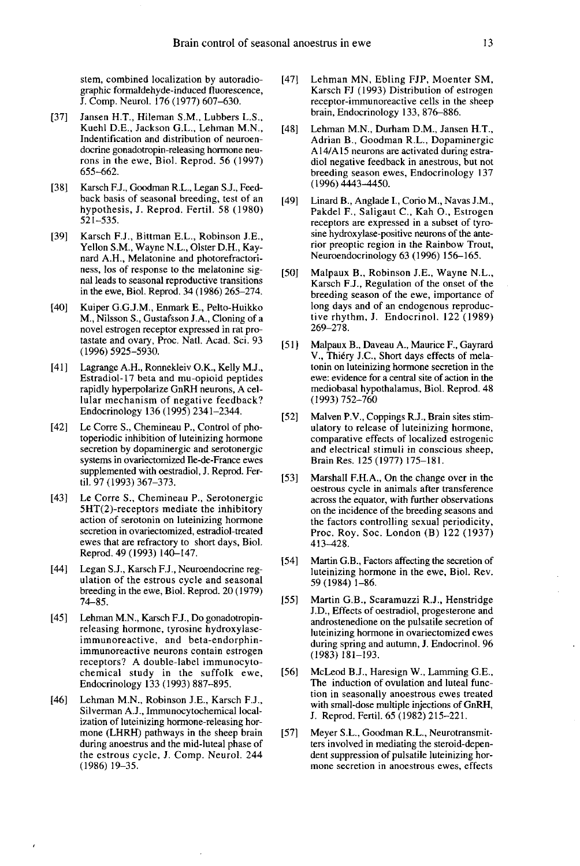stem, combined localization by autoradiographic formaldehyde-induced fluorescence, J. Comp. Neurol. 176 (1977) 607-630.

- [37] Jansen H.T., Hileman S.M., Lubbers L.S., Kuehl D.E., Jackson G.L., Lehman M.N., Indentification and distribution of neuroendocrine gonadotropin-releasing hormone neurons in the ewe, Biol. Reprod. 56 (1997) 655-662.
- [38] Karsch F.J., Goodman R.L., Legan S.J., Feedback basis of seasonal breeding, test of an hypothesis, J. Reprod. Fertil. 58 (1980) 521-535.
- [39] Karsch F.J., Bittman E.L., Robinson J.E., Yellon S.M., Wayne N.L., Olster D.H., Kay nard A.H., Melatonine and photorefractori ness, los of response to the melatonine signal leads to seasonal reproductive transitions in the ewe, Biol. Reprod. 34 (1986) 265-274.
- [40] Kuiper G.G.J.M., Enmark E., Pelto-Huikko M., Nilsson S., Gustafsson J.A., Cloning of a novel estrogen receptor expressed in rat pro tastate and ovary, Proc. Natl. Acad. Sci. 93 (1996) 5925-5930.
- [41] Lagrange A.H., Ronnekleiv O.K., Kelly M.J., Estradiol-17 beta and mu-opioid peptides rapidly hyperpolarize GnRH neurons, A cellular mechanism of negative feedback? Endocrinology 136 (1995) 2341-2344.
- [42] Le Corre S., Chemineau P., Control of photoperiodic inhibition of luteinizing hormone secretion by dopaminergic and serotonergic systems in ovariectomized Ile-de-France ewes supplemented with oestradiol, J. Reprod. Fertil. 97 (1993) 367-373.
- [43] Le Corre S., Chemineau P., Serotonergic 5HT(2)-receptors mediate the inhibitory action of serotonin on luteinizing hormone secretion in ovariectomized, estradiol-treated ewes that are refractory to short days, Biol. Reprod. 49 (1993) 140-147.
- [44] Legan S.J., Karsch F.J., Neuroendocrine regulation of the estrous cycle and seasonal breeding in the ewe, Biol. Reprod. 20 (1979) 74-85.
- [45] Lehman M.N., Karsch F.J., Do gonadotropinreleasing hormone, tyrosine hydroxylaseimmunoreactive, and beta-endorphinimmunoreactive neurons contain estrogen receptors? A double-label immunocytochemical study in the suffolk ewe, Endocrinology 133 (1993) 887-895.
- [46] Lehman M.N., Robinson J.E., Karsch F.J., Silverman A.J., Immunocytochemical localization of luteinizing hormone-releasing hormone (LHRH) pathways in the sheep brain during anoestrus and the mid-luteal phase of the estrous cycle, J. Comp. Neurol. 244 (1986)19-35.
- [47] Lehman MN, Ebling FJP, Moenter SM, Karsch FJ (1993) Distribution of estrogen receptor-immunoreactive cells in the sheep brain, Endocrinology 133, 876-886.
- [48] Lehman M.N., Durham D.M., Jansen H.T., Adrian B., Goodman R.L., Dopaminergic A14/A15 neurons are activated during estradiol negative feedback in anestrous, but not breeding season ewes, Endocrinology 137 (1996) 4443-4450.
- [49] Linard B., Anglade I., Corio M., Navas J.M., Pakdel F., Saligaut C., Kah O., Estrogen receptors are expressed in a subset of tyrosine hydroxylase-positive neurons of the anterior preoptic region in the Rainbow Trout, Neuroendocrinology 63 (1996) 156-165.
- [50] Malpaux B., Robinson J.E., Wayne N.L., Karsch F.J., Regulation of the onset of the breeding season of the ewe, importance of long days and of an endogenous reproductive rhythm, J. Endocrinol. 122 (1989) 269-278.
- [51] Malpaux B., Daveau A., Maurice F., Gayrard V., Thiéry J.C., Short days effects of melatonin on luteinizing hormone secretion in the ewe: evidence for a central site of action in the mediobasal hypothalamus, Biol. Reprod. 48 (1993)752-760
- [52] Malven P.V., Coppings R.J., Brain sites stimulatory to release of luteinizing hormone, comparative effects of localized estrogenic and electrical stimuli in conscious sheep, Brain Res. 125 (1977) 175-181.
- [53] Marshall F.H.A., On the change over in the oestrous cycle in animals after transference across the equator, with further observations on the incidence of the breeding seasons and<br>the factors controlling sexual periodicity, Proc. Roy. Soc. London (B)  $122$  (1937) 413-428.
- [54] Martin G.B., Factors affecting the secretion of luteinizing hormone in the ewe, Biol. Rev. 59 ( 1984) 1-86.
- [55] Martin G.B., Scaramuzzi R.J., Henstridge J.D., Effects of oestradiol, progesterone and androstenedione on the pulsatile secretion of luteinizing hormone in ovariectomized ewes during spring and autumn, J. Endocrinol. 96 (1983) 181-193.
- [56] McLeod B.J., Haresign W., Lamming G.E., The induction of ovulation and luteal function in seasonally anoestrous ewes treated with small-dose multiple injections of GnRH, J. Reprod. Fertil. 65 (1982) 215-221.
- [57] Meyer S.L., Goodman R.L., Neurotransmitters involved in mediating the steroid-depen dent suppression of pulsatile luteinizing hormone secretion in anoestrous ewes, effects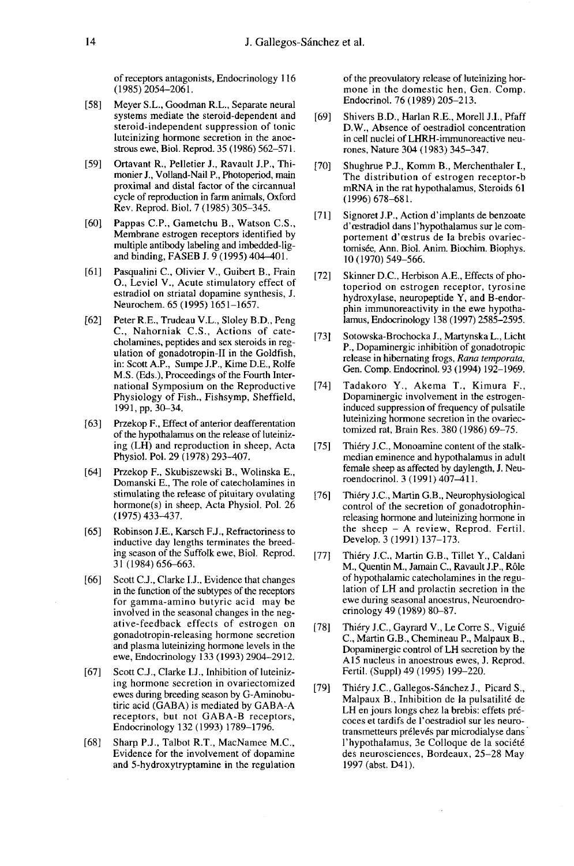of receptors antagonists, Endocrinology 116 (1985)2054-2061.

- [58] Meyer S.L., Goodman R.L., Separate neural systems mediate the steroid-dependent and steroid-independent suppression of tonic luteinizing hormone secretion in the anoestrous ewe, Biol. Reprod. 35 (1986) 562-571.
- [59] Ortavant R., Pelletier J., Ravault J.P., Thimonier J., Volland-Nail P., Photoperiod, main proximal and distal factor of the circannual cycle of reproduction in farm animals, Oxford Rev. Reprod. Biol. 7 (1985) 305-345.
- [60] Pappas C.P., Gametchu B., Watson C.S., Membrane estrogen receptors identified by and binding, FASEB J. 9 (1995) 404-401.
- [61] Pasqualini C., Olivier V., Guibert B., Frain 0., Leviel V., Acute stimulatory effect of estradiol on striatal dopamine synthesis, J. Neurochem. 65 (1995) 1651-1657.
- [62] Peter R.E., Trudeau V.L., Sloley B.D., Peng C., Nahorniak C.S., Actions of catecholamines, peptides and sex steroids in reg ulation of gonadotropin-II in the Goldfish, in: Scott A.P., Sumpe J.P., Kime D.E., Rolfe M.S. (Eds.), Proceedings of the Fourth International Symposium on the Reproductive Physiology of Fish., Fishsymp, Sheffield, 1991, pp. 30-34.
- [63] Przekop F., Effect of anterior deafferentation of the hypothalamus on the release of luteinizing (LH) and reproduction in sheep, Acta Physiol, Pol. 29 (1978) 293-407.
- [64] Przekop F., Skubiszewski B., Wolinska E., Domanski E., The role of catecholamines in stimulating the release of pituitary ovulating hormone(s) in sheep, Acta Physiol. Pol. 26 (1975)433-437.
- [65] Robinson J.E., Karsch F.J., Refractoriness to inductive day lengths terminates the breeding season of the Suffolk ewe, Biol. Reprod. 31 (1984) 656-663.
- [66] Scott C.J., Clarke I.J., Evidence that changes in the function of the subtypes of the receptors for gamma-amino butyric acid may be involved in the seasonal changes in the negative-feedback effects of estrogen on gonadotropin-releasing hormone secretion and plasma luteinizing hormone levels in the ewe, Endocrinology 133 (1993) 2904-2912.
- [67] Scott C.J., Clarke I.J., Inhibition of luteinizing hormone secretion in ovariectomized ewes during breeding season by G-Aminobutiric acid (GABA) is mediated by GABA-A receptors, but not GABA-B receptors, Endocrinology 132 (1993) 1789-1796.
- [68] Sharp P.J., Talbot R.T., MacNamee M.C., Evidence for the involvement of dopamine and 5-hydroxytryptamine in the regulation

of the preovulatory release of luteinizing hormone in the domestic hen, Gen. Comp. Endocrinol. 76 (1989) 205-213.

- [69] Shivers B.D., Harlan R.E., Morell J.I., Pfaff D.W., Absence of oestradiol concentration in cell nuclei of LHRH-immunoreactive neurones, Nature 304 (1983) 345-347.
- [70] Shughrue P.J., Komm B., Merchenthaler I., The distribution of estrogen receptor-b mRNA in the rat hypothalamus, Steroids 61  $(1996)$  678-681.
- [71] Signoret J.P., Action d'implants de benzoate d'oestradiol dans 1'hypothalamus sur le comportement d'œstrus de la brebis ovariectomisée, Ann. Biol. Anim. Biochim. Biophys. 10 (1970) 549-566.
- [72] Skinner D.C., Herbison A.E., Effects of photoperiod on estrogen receptor, tyrosine hydroxylase, neuropeptide Y, and B-endorphin immunoreactivity in the ewe hypothalamus, Endocrinology 138 (1997) 2585-2595.
- [73] Sotowska-Brochocka J., Martynska L., Licht release in hibernating frogs, Rana temporata, Gen. Comp. Endocrinol. 93 (1994) 192-1969.
- [74] Tadakoro Y., Akema T., Kimura F., Dopaminergic involvement in the estrogeninduced suppression of frequency of pulsatile luteinizing hormone secretion in the ovariectomized rat, Brain Res. 380 (1986) 69-75.
- [75] Thiéry J.C., Monoamine content of the stalkmedian eminence and hypothalamus in adult female sheep as affected by daylength, J. Neuroendocrinol. 3 (1991) 407-411.
- [76] Thiéry J.C., Martin G.B., Neurophysiological control of the secretion of gonadotrophinreleasing hormone and luteinizing hormone in the sheep  $-$  A review, Reprod. Fertil. Develop. 3 (1991) 137-173.
- [77] Thiéry J.C., Martin G.B., Tillet Y., Caldani M., Quentin M., Jamain C., Ravault J.P., Role of hypothalamic catecholamines in the regulation of LH and prolactin secretion in the ewe during seasonal anoestrus, Neuroendrocrinology 49 (1989) 80-87.
- [78] Thiéry J.C., Gayrard V., Le Corre S., Viguié C., Martin G.B., Chemineau P., Malpaux B., Dopaminergic control of LH secretion by the A15 nucleus in anoestrous ewes, J. Reprod. Fertil. (Suppl) 49 (1995) 199-220.
- [79] Thiéry J.C., Gallegos-Sánchez J., Picard S., Malpaux B., Inhibition de la pulsatilité de LH en jours longs chez la brebis: effets précoces et tardifs de I'oestradiol sur les neurotransmetteurs prélevés par microdialyse dans l'hypothalamus, 3e Colloque de la société des neurosciences, Bordeaux, 25-28 May 1997 (abst. D41).